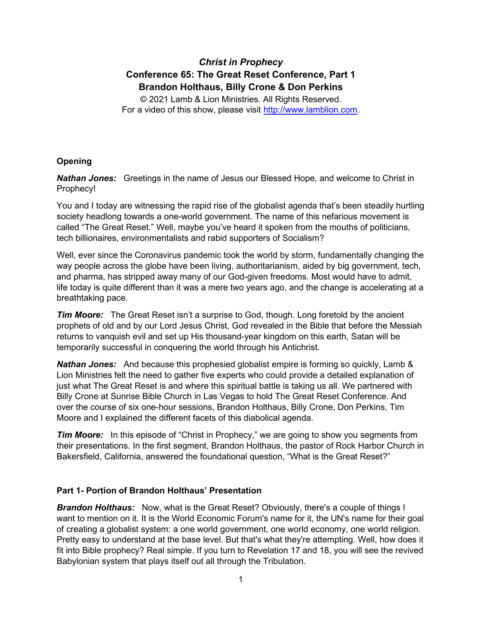# *Christ in Prophecy* **Conference 65: The Great Reset Conference, Part 1 Brandon Holthaus, Billy Crone & Don Perkins**

© 2021 Lamb & Lion Ministries. All Rights Reserved. For a video of this show, please visit [http://www.lamblion.com.](http://www.lamblion.com/)

## **Opening**

*Nathan Jones:* Greetings in the name of Jesus our Blessed Hope, and welcome to Christ in Prophecy!

You and I today are witnessing the rapid rise of the globalist agenda that's been steadily hurtling society headlong towards a one-world government. The name of this nefarious movement is called "The Great Reset." Well, maybe you've heard it spoken from the mouths of politicians, tech billionaires, environmentalists and rabid supporters of Socialism?

Well, ever since the Coronavirus pandemic took the world by storm, fundamentally changing the way people across the globe have been living, authoritarianism, aided by big government, tech, and pharma, has stripped away many of our God-given freedoms. Most would have to admit, life today is quite different than it was a mere two years ago, and the change is accelerating at a breathtaking pace.

*Tim Moore:* The Great Reset isn't a surprise to God, though. Long foretold by the ancient prophets of old and by our Lord Jesus Christ, God revealed in the Bible that before the Messiah returns to vanquish evil and set up His thousand-year kingdom on this earth, Satan will be temporarily successful in conquering the world through his Antichrist.

*Nathan Jones:* And because this prophesied globalist empire is forming so quickly, Lamb & Lion Ministries felt the need to gather five experts who could provide a detailed explanation of just what The Great Reset is and where this spiritual battle is taking us all. We partnered with Billy Crone at Sunrise Bible Church in Las Vegas to hold The Great Reset Conference. And over the course of six one-hour sessions, Brandon Holthaus, Billy Crone, Don Perkins, Tim Moore and I explained the different facets of this diabolical agenda.

*Tim Moore:* In this episode of "Christ in Prophecy," we are going to show you segments from their presentations. In the first segment, Brandon Holthaus, the pastor of Rock Harbor Church in Bakersfield, California, answered the foundational question, "What is the Great Reset?"

## **Part 1- Portion of Brandon Holthaus' Presentation**

**Brandon Holthaus:** Now, what is the Great Reset? Obviously, there's a couple of things I want to mention on it. It is the World Economic Forum's name for it, the UN's name for their goal of creating a globalist system: a one world government, one world economy, one world religion. Pretty easy to understand at the base level. But that's what they're attempting. Well, how does it fit into Bible prophecy? Real simple. If you turn to Revelation 17 and 18, you will see the revived Babylonian system that plays itself out all through the Tribulation.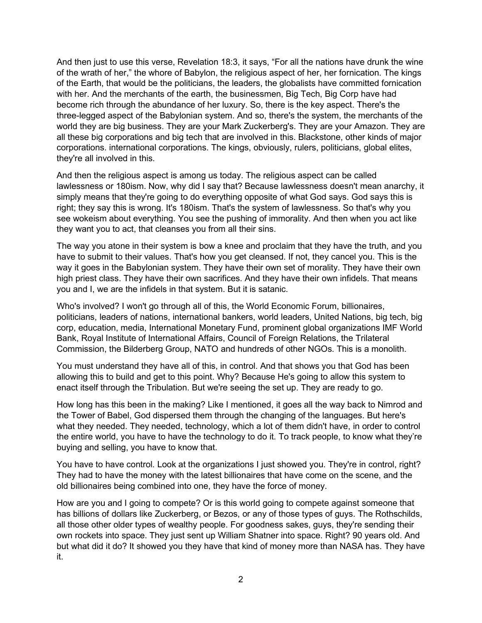And then just to use this verse, Revelation 18:3, it says, "For all the nations have drunk the wine of the wrath of her," the whore of Babylon, the religious aspect of her, her fornication. The kings of the Earth, that would be the politicians, the leaders, the globalists have committed fornication with her. And the merchants of the earth, the businessmen, Big Tech, Big Corp have had become rich through the abundance of her luxury. So, there is the key aspect. There's the three-legged aspect of the Babylonian system. And so, there's the system, the merchants of the world they are big business. They are your Mark Zuckerberg's. They are your Amazon. They are all these big corporations and big tech that are involved in this. Blackstone, other kinds of major corporations. international corporations. The kings, obviously, rulers, politicians, global elites, they're all involved in this.

And then the religious aspect is among us today. The religious aspect can be called lawlessness or 180ism. Now, why did I say that? Because lawlessness doesn't mean anarchy, it simply means that they're going to do everything opposite of what God says. God says this is right; they say this is wrong. It's 180ism. That's the system of lawlessness. So that's why you see wokeism about everything. You see the pushing of immorality. And then when you act like they want you to act, that cleanses you from all their sins.

The way you atone in their system is bow a knee and proclaim that they have the truth, and you have to submit to their values. That's how you get cleansed. If not, they cancel you. This is the way it goes in the Babylonian system. They have their own set of morality. They have their own high priest class. They have their own sacrifices. And they have their own infidels. That means you and I, we are the infidels in that system. But it is satanic.

Who's involved? I won't go through all of this, the World Economic Forum, billionaires, politicians, leaders of nations, international bankers, world leaders, United Nations, big tech, big corp, education, media, International Monetary Fund, prominent global organizations IMF World Bank, Royal Institute of International Affairs, Council of Foreign Relations, the Trilateral Commission, the Bilderberg Group, NATO and hundreds of other NGOs. This is a monolith.

You must understand they have all of this, in control. And that shows you that God has been allowing this to build and get to this point. Why? Because He's going to allow this system to enact itself through the Tribulation. But we're seeing the set up. They are ready to go.

How long has this been in the making? Like I mentioned, it goes all the way back to Nimrod and the Tower of Babel, God dispersed them through the changing of the languages. But here's what they needed. They needed, technology, which a lot of them didn't have, in order to control the entire world, you have to have the technology to do it. To track people, to know what they're buying and selling, you have to know that.

You have to have control. Look at the organizations I just showed you. They're in control, right? They had to have the money with the latest billionaires that have come on the scene, and the old billionaires being combined into one, they have the force of money.

How are you and I going to compete? Or is this world going to compete against someone that has billions of dollars like Zuckerberg, or Bezos, or any of those types of guys. The Rothschilds, all those other older types of wealthy people. For goodness sakes, guys, they're sending their own rockets into space. They just sent up William Shatner into space. Right? 90 years old. And but what did it do? It showed you they have that kind of money more than NASA has. They have it.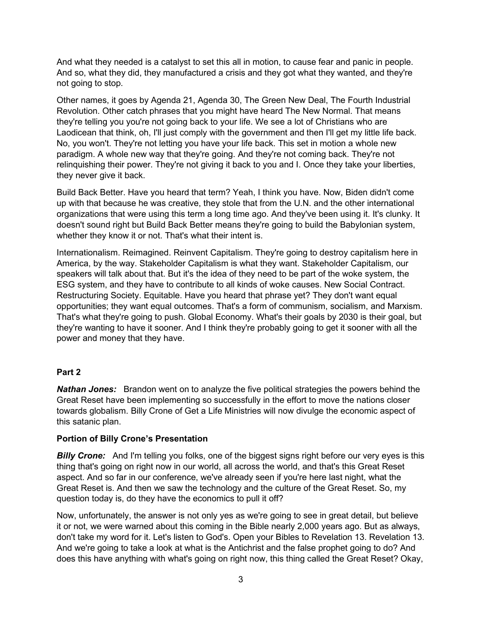And what they needed is a catalyst to set this all in motion, to cause fear and panic in people. And so, what they did, they manufactured a crisis and they got what they wanted, and they're not going to stop.

Other names, it goes by Agenda 21, Agenda 30, The Green New Deal, The Fourth Industrial Revolution. Other catch phrases that you might have heard The New Normal. That means they're telling you you're not going back to your life. We see a lot of Christians who are Laodicean that think, oh, I'll just comply with the government and then I'll get my little life back. No, you won't. They're not letting you have your life back. This set in motion a whole new paradigm. A whole new way that they're going. And they're not coming back. They're not relinquishing their power. They're not giving it back to you and I. Once they take your liberties, they never give it back.

Build Back Better. Have you heard that term? Yeah, I think you have. Now, Biden didn't come up with that because he was creative, they stole that from the U.N. and the other international organizations that were using this term a long time ago. And they've been using it. It's clunky. It doesn't sound right but Build Back Better means they're going to build the Babylonian system, whether they know it or not. That's what their intent is.

Internationalism. Reimagined. Reinvent Capitalism. They're going to destroy capitalism here in America, by the way. Stakeholder Capitalism is what they want. Stakeholder Capitalism, our speakers will talk about that. But it's the idea of they need to be part of the woke system, the ESG system, and they have to contribute to all kinds of woke causes. New Social Contract. Restructuring Society. Equitable. Have you heard that phrase yet? They don't want equal opportunities; they want equal outcomes. That's a form of communism, socialism, and Marxism. That's what they're going to push. Global Economy. What's their goals by 2030 is their goal, but they're wanting to have it sooner. And I think they're probably going to get it sooner with all the power and money that they have.

## **Part 2**

*Nathan Jones:* Brandon went on to analyze the five political strategies the powers behind the Great Reset have been implementing so successfully in the effort to move the nations closer towards globalism. Billy Crone of Get a Life Ministries will now divulge the economic aspect of this satanic plan.

## **Portion of Billy Crone's Presentation**

**Billy Crone:** And I'm telling you folks, one of the biggest signs right before our very eyes is this thing that's going on right now in our world, all across the world, and that's this Great Reset aspect. And so far in our conference, we've already seen if you're here last night, what the Great Reset is. And then we saw the technology and the culture of the Great Reset. So, my question today is, do they have the economics to pull it off?

Now, unfortunately, the answer is not only yes as we're going to see in great detail, but believe it or not, we were warned about this coming in the Bible nearly 2,000 years ago. But as always, don't take my word for it. Let's listen to God's. Open your Bibles to Revelation 13. Revelation 13. And we're going to take a look at what is the Antichrist and the false prophet going to do? And does this have anything with what's going on right now, this thing called the Great Reset? Okay,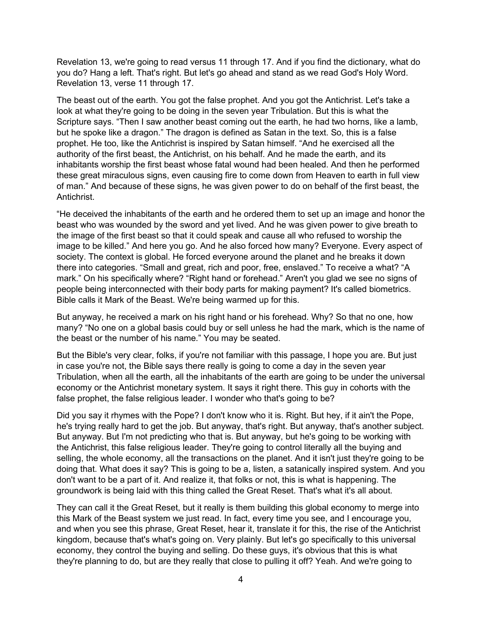Revelation 13, we're going to read versus 11 through 17. And if you find the dictionary, what do you do? Hang a left. That's right. But let's go ahead and stand as we read God's Holy Word. Revelation 13, verse 11 through 17.

The beast out of the earth. You got the false prophet. And you got the Antichrist. Let's take a look at what they're going to be doing in the seven year Tribulation. But this is what the Scripture says. "Then I saw another beast coming out the earth, he had two horns, like a lamb, but he spoke like a dragon." The dragon is defined as Satan in the text. So, this is a false prophet. He too, like the Antichrist is inspired by Satan himself. "And he exercised all the authority of the first beast, the Antichrist, on his behalf. And he made the earth, and its inhabitants worship the first beast whose fatal wound had been healed. And then he performed these great miraculous signs, even causing fire to come down from Heaven to earth in full view of man." And because of these signs, he was given power to do on behalf of the first beast, the Antichrist.

"He deceived the inhabitants of the earth and he ordered them to set up an image and honor the beast who was wounded by the sword and yet lived. And he was given power to give breath to the image of the first beast so that it could speak and cause all who refused to worship the image to be killed." And here you go. And he also forced how many? Everyone. Every aspect of society. The context is global. He forced everyone around the planet and he breaks it down there into categories. "Small and great, rich and poor, free, enslaved." To receive a what? "A mark." On his specifically where? "Right hand or forehead." Aren't you glad we see no signs of people being interconnected with their body parts for making payment? It's called biometrics. Bible calls it Mark of the Beast. We're being warmed up for this.

But anyway, he received a mark on his right hand or his forehead. Why? So that no one, how many? "No one on a global basis could buy or sell unless he had the mark, which is the name of the beast or the number of his name." You may be seated.

But the Bible's very clear, folks, if you're not familiar with this passage, I hope you are. But just in case you're not, the Bible says there really is going to come a day in the seven year Tribulation, when all the earth, all the inhabitants of the earth are going to be under the universal economy or the Antichrist monetary system. It says it right there. This guy in cohorts with the false prophet, the false religious leader. I wonder who that's going to be?

Did you say it rhymes with the Pope? I don't know who it is. Right. But hey, if it ain't the Pope, he's trying really hard to get the job. But anyway, that's right. But anyway, that's another subject. But anyway. But I'm not predicting who that is. But anyway, but he's going to be working with the Antichrist, this false religious leader. They're going to control literally all the buying and selling, the whole economy, all the transactions on the planet. And it isn't just they're going to be doing that. What does it say? This is going to be a, listen, a satanically inspired system. And you don't want to be a part of it. And realize it, that folks or not, this is what is happening. The groundwork is being laid with this thing called the Great Reset. That's what it's all about.

They can call it the Great Reset, but it really is them building this global economy to merge into this Mark of the Beast system we just read. In fact, every time you see, and I encourage you, and when you see this phrase, Great Reset, hear it, translate it for this, the rise of the Antichrist kingdom, because that's what's going on. Very plainly. But let's go specifically to this universal economy, they control the buying and selling. Do these guys, it's obvious that this is what they're planning to do, but are they really that close to pulling it off? Yeah. And we're going to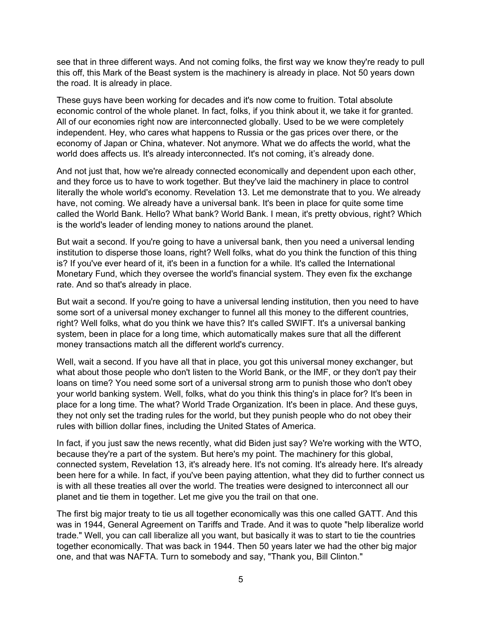see that in three different ways. And not coming folks, the first way we know they're ready to pull this off, this Mark of the Beast system is the machinery is already in place. Not 50 years down the road. It is already in place.

These guys have been working for decades and it's now come to fruition. Total absolute economic control of the whole planet. In fact, folks, if you think about it, we take it for granted. All of our economies right now are interconnected globally. Used to be we were completely independent. Hey, who cares what happens to Russia or the gas prices over there, or the economy of Japan or China, whatever. Not anymore. What we do affects the world, what the world does affects us. It's already interconnected. It's not coming, it's already done.

And not just that, how we're already connected economically and dependent upon each other, and they force us to have to work together. But they've laid the machinery in place to control literally the whole world's economy. Revelation 13. Let me demonstrate that to you. We already have, not coming. We already have a universal bank. It's been in place for quite some time called the World Bank. Hello? What bank? World Bank. I mean, it's pretty obvious, right? Which is the world's leader of lending money to nations around the planet.

But wait a second. If you're going to have a universal bank, then you need a universal lending institution to disperse those loans, right? Well folks, what do you think the function of this thing is? If you've ever heard of it, it's been in a function for a while. It's called the International Monetary Fund, which they oversee the world's financial system. They even fix the exchange rate. And so that's already in place.

But wait a second. If you're going to have a universal lending institution, then you need to have some sort of a universal money exchanger to funnel all this money to the different countries, right? Well folks, what do you think we have this? It's called SWIFT. It's a universal banking system, been in place for a long time, which automatically makes sure that all the different money transactions match all the different world's currency.

Well, wait a second. If you have all that in place, you got this universal money exchanger, but what about those people who don't listen to the World Bank, or the IMF, or they don't pay their loans on time? You need some sort of a universal strong arm to punish those who don't obey your world banking system. Well, folks, what do you think this thing's in place for? It's been in place for a long time. The what? World Trade Organization. It's been in place. And these guys, they not only set the trading rules for the world, but they punish people who do not obey their rules with billion dollar fines, including the United States of America.

In fact, if you just saw the news recently, what did Biden just say? We're working with the WTO, because they're a part of the system. But here's my point. The machinery for this global, connected system, Revelation 13, it's already here. It's not coming. It's already here. It's already been here for a while. In fact, if you've been paying attention, what they did to further connect us is with all these treaties all over the world. The treaties were designed to interconnect all our planet and tie them in together. Let me give you the trail on that one.

The first big major treaty to tie us all together economically was this one called GATT. And this was in 1944, General Agreement on Tariffs and Trade. And it was to quote "help liberalize world trade." Well, you can call liberalize all you want, but basically it was to start to tie the countries together economically. That was back in 1944. Then 50 years later we had the other big major one, and that was NAFTA. Turn to somebody and say, "Thank you, Bill Clinton."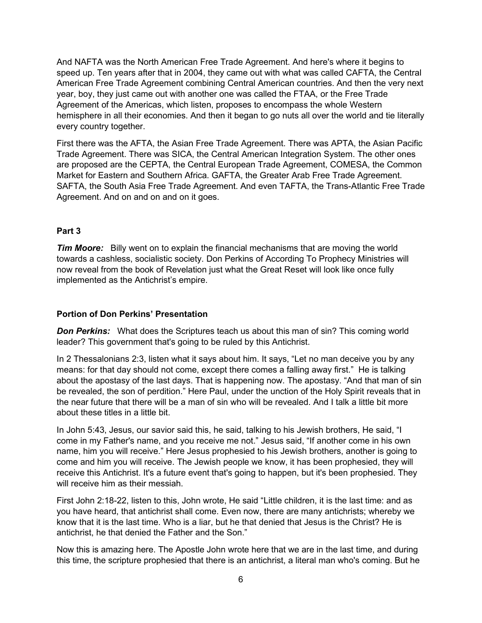And NAFTA was the North American Free Trade Agreement. And here's where it begins to speed up. Ten years after that in 2004, they came out with what was called CAFTA, the Central American Free Trade Agreement combining Central American countries. And then the very next year, boy, they just came out with another one was called the FTAA, or the Free Trade Agreement of the Americas, which listen, proposes to encompass the whole Western hemisphere in all their economies. And then it began to go nuts all over the world and tie literally every country together.

First there was the AFTA, the Asian Free Trade Agreement. There was APTA, the Asian Pacific Trade Agreement. There was SICA, the Central American Integration System. The other ones are proposed are the CEPTA, the Central European Trade Agreement, COMESA, the Common Market for Eastern and Southern Africa. GAFTA, the Greater Arab Free Trade Agreement. SAFTA, the South Asia Free Trade Agreement. And even TAFTA, the Trans-Atlantic Free Trade Agreement. And on and on and on it goes.

## **Part 3**

*Tim Moore:* Billy went on to explain the financial mechanisms that are moving the world towards a cashless, socialistic society. Don Perkins of According To Prophecy Ministries will now reveal from the book of Revelation just what the Great Reset will look like once fully implemented as the Antichrist's empire.

## **Portion of Don Perkins' Presentation**

**Don Perkins:** What does the Scriptures teach us about this man of sin? This coming world leader? This government that's going to be ruled by this Antichrist.

In 2 Thessalonians 2:3, listen what it says about him. It says, "Let no man deceive you by any means: for that day should not come, except there comes a falling away first." He is talking about the apostasy of the last days. That is happening now. The apostasy. "And that man of sin be revealed, the son of perdition." Here Paul, under the unction of the Holy Spirit reveals that in the near future that there will be a man of sin who will be revealed. And I talk a little bit more about these titles in a little bit.

In John 5:43, Jesus, our savior said this, he said, talking to his Jewish brothers, He said, "I come in my Father's name, and you receive me not." Jesus said, "If another come in his own name, him you will receive." Here Jesus prophesied to his Jewish brothers, another is going to come and him you will receive. The Jewish people we know, it has been prophesied, they will receive this Antichrist. It's a future event that's going to happen, but it's been prophesied. They will receive him as their messiah.

First John 2:18-22, listen to this, John wrote, He said "Little children, it is the last time: and as you have heard, that antichrist shall come. Even now, there are many antichrists; whereby we know that it is the last time. Who is a liar, but he that denied that Jesus is the Christ? He is antichrist, he that denied the Father and the Son."

Now this is amazing here. The Apostle John wrote here that we are in the last time, and during this time, the scripture prophesied that there is an antichrist, a literal man who's coming. But he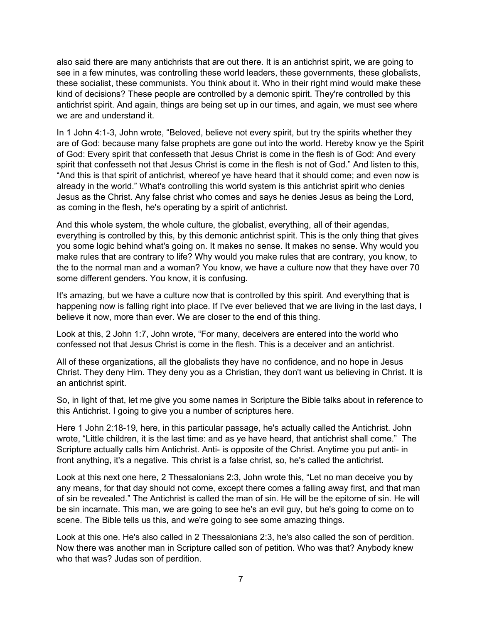also said there are many antichrists that are out there. It is an antichrist spirit, we are going to see in a few minutes, was controlling these world leaders, these governments, these globalists, these socialist, these communists. You think about it. Who in their right mind would make these kind of decisions? These people are controlled by a demonic spirit. They're controlled by this antichrist spirit. And again, things are being set up in our times, and again, we must see where we are and understand it.

In 1 John 4:1-3, John wrote, "Beloved, believe not every spirit, but try the spirits whether they are of God: because many false prophets are gone out into the world. Hereby know ye the Spirit of God: Every spirit that confesseth that Jesus Christ is come in the flesh is of God: And every spirit that confesseth not that Jesus Christ is come in the flesh is not of God." And listen to this, "And this is that spirit of antichrist, whereof ye have heard that it should come; and even now is already in the world." What's controlling this world system is this antichrist spirit who denies Jesus as the Christ. Any false christ who comes and says he denies Jesus as being the Lord, as coming in the flesh, he's operating by a spirit of antichrist.

And this whole system, the whole culture, the globalist, everything, all of their agendas, everything is controlled by this, by this demonic antichrist spirit. This is the only thing that gives you some logic behind what's going on. It makes no sense. It makes no sense. Why would you make rules that are contrary to life? Why would you make rules that are contrary, you know, to the to the normal man and a woman? You know, we have a culture now that they have over 70 some different genders. You know, it is confusing.

It's amazing, but we have a culture now that is controlled by this spirit. And everything that is happening now is falling right into place. If I've ever believed that we are living in the last days, I believe it now, more than ever. We are closer to the end of this thing.

Look at this, 2 John 1:7, John wrote, "For many, deceivers are entered into the world who confessed not that Jesus Christ is come in the flesh. This is a deceiver and an antichrist.

All of these organizations, all the globalists they have no confidence, and no hope in Jesus Christ. They deny Him. They deny you as a Christian, they don't want us believing in Christ. It is an antichrist spirit.

So, in light of that, let me give you some names in Scripture the Bible talks about in reference to this Antichrist. I going to give you a number of scriptures here.

Here 1 John 2:18-19, here, in this particular passage, he's actually called the Antichrist. John wrote, "Little children, it is the last time: and as ye have heard, that antichrist shall come." The Scripture actually calls him Antichrist. Anti- is opposite of the Christ. Anytime you put anti- in front anything, it's a negative. This christ is a false christ, so, he's called the antichrist.

Look at this next one here, 2 Thessalonians 2:3, John wrote this, "Let no man deceive you by any means, for that day should not come, except there comes a falling away first, and that man of sin be revealed." The Antichrist is called the man of sin. He will be the epitome of sin. He will be sin incarnate. This man, we are going to see he's an evil guy, but he's going to come on to scene. The Bible tells us this, and we're going to see some amazing things.

Look at this one. He's also called in 2 Thessalonians 2:3, he's also called the son of perdition. Now there was another man in Scripture called son of petition. Who was that? Anybody knew who that was? Judas son of perdition.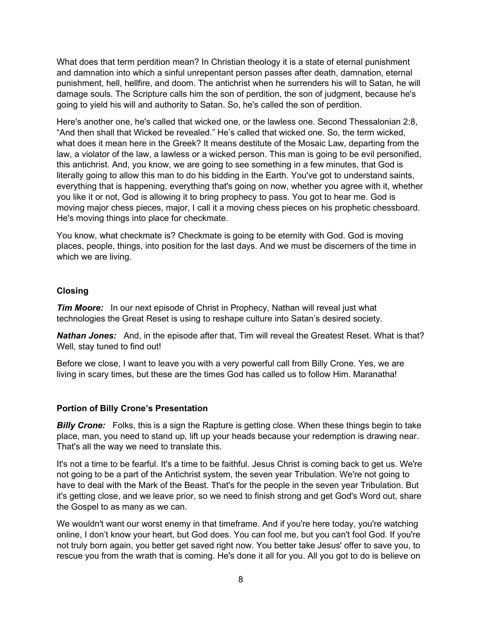What does that term perdition mean? In Christian theology it is a state of eternal punishment and damnation into which a sinful unrepentant person passes after death, damnation, eternal punishment, hell, hellfire, and doom. The antichrist when he surrenders his will to Satan, he will damage souls. The Scripture calls him the son of perdition, the son of judgment, because he's going to yield his will and authority to Satan. So, he's called the son of perdition.

Here's another one, he's called that wicked one, or the lawless one. Second Thessalonian 2:8, "And then shall that Wicked be revealed." He's called that wicked one. So, the term wicked, what does it mean here in the Greek? It means destitute of the Mosaic Law, departing from the law, a violator of the law, a lawless or a wicked person. This man is going to be evil personified, this antichrist. And, you know, we are going to see something in a few minutes, that God is literally going to allow this man to do his bidding in the Earth. You've got to understand saints, everything that is happening, everything that's going on now, whether you agree with it, whether you like it or not, God is allowing it to bring prophecy to pass. You got to hear me. God is moving major chess pieces, major, I call it a moving chess pieces on his prophetic chessboard. He's moving things into place for checkmate.

You know, what checkmate is? Checkmate is going to be eternity with God. God is moving places, people, things, into position for the last days. And we must be discerners of the time in which we are living.

## **Closing**

*Tim Moore:* In our next episode of Christ in Prophecy, Nathan will reveal just what technologies the Great Reset is using to reshape culture into Satan's desired society.

*Nathan Jones:* And, in the episode after that, Tim will reveal the Greatest Reset. What is that? Well, stay tuned to find out!

Before we close, I want to leave you with a very powerful call from Billy Crone. Yes, we are living in scary times, but these are the times God has called us to follow Him. Maranatha!

## **Portion of Billy Crone's Presentation**

**Billy Crone:** Folks, this is a sign the Rapture is getting close. When these things begin to take place, man, you need to stand up, lift up your heads because your redemption is drawing near. That's all the way we need to translate this.

It's not a time to be fearful. It's a time to be faithful. Jesus Christ is coming back to get us. We're not going to be a part of the Antichrist system, the seven year Tribulation. We're not going to have to deal with the Mark of the Beast. That's for the people in the seven year Tribulation. But it's getting close, and we leave prior, so we need to finish strong and get God's Word out, share the Gospel to as many as we can.

We wouldn't want our worst enemy in that timeframe. And if you're here today, you're watching online, I don't know your heart, but God does. You can fool me, but you can't fool God. If you're not truly born again, you better get saved right now. You better take Jesus' offer to save you, to rescue you from the wrath that is coming. He's done it all for you. All you got to do is believe on